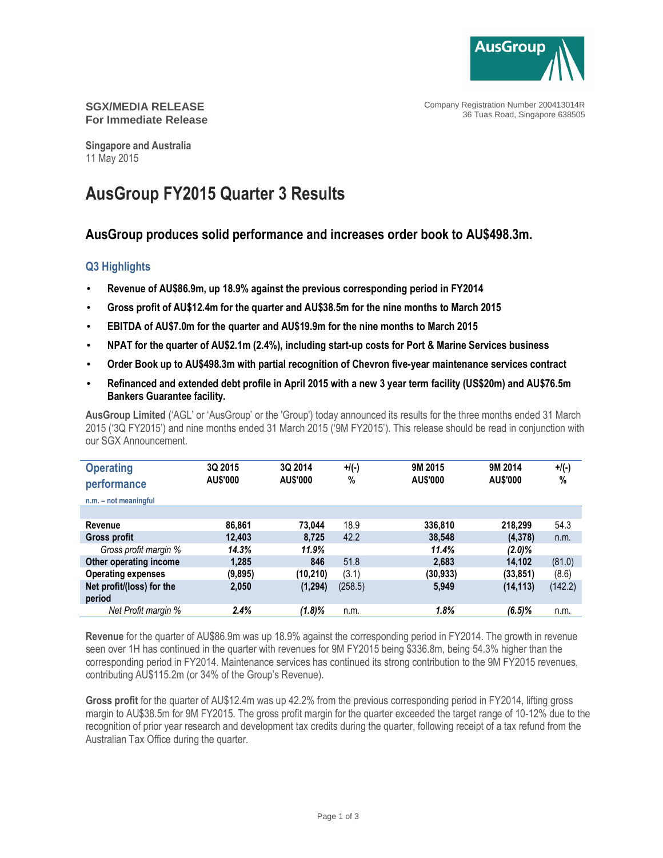

Company Registration Number 200413014R 36 Tuas Road, Singapore 638505

## **SGX/MEDIA RELEASE For Immediate Release**

**Singapore and Australia**  11 May 2015

# **AusGroup FY2015 Quarter 3 Results**

# **AusGroup produces solid performance and increases order book to AU\$498.3m.**

# **Q3 Highlights**

- **Revenue of AU\$86.9m, up 18.9% against the previous corresponding period in FY2014**
- **Gross profit of AU\$12.4m for the quarter and AU\$38.5m for the nine months to March 2015**
- **EBITDA of AU\$7.0m for the quarter and AU\$19.9m for the nine months to March 2015**
- **NPAT for the quarter of AU\$2.1m (2.4%), including start-up costs for Port & Marine Services business**
- **Order Book up to AU\$498.3m with partial recognition of Chevron five-year maintenance services contract**
- **Refinanced and extended debt profile in April 2015 with a new 3 year term facility (US\$20m) and AU\$76.5m Bankers Guarantee facility.**

**AusGroup Limited** ('AGL' or 'AusGroup' or the 'Group') today announced its results for the three months ended 31 March 2015 ('3Q FY2015') and nine months ended 31 March 2015 ('9M FY2015'). This release should be read in conjunction with our SGX Announcement.

| <b>Operating</b><br>performance | 3Q 2015<br><b>AU\$'000</b> | 3Q 2014<br><b>AU\$'000</b> | $+$ /(-)<br>% | 9M 2015<br><b>AU\$'000</b> | 9M 2014<br><b>AU\$'000</b> | $+$ /(-)<br>$\%$ |
|---------------------------------|----------------------------|----------------------------|---------------|----------------------------|----------------------------|------------------|
| $n.m. - not meaningful$         |                            |                            |               |                            |                            |                  |
|                                 |                            |                            |               |                            |                            |                  |
| Revenue                         | 86,861                     | 73.044                     | 18.9          | 336.810                    | 218.299                    | 54.3             |
| <b>Gross profit</b>             | 12.403                     | 8.725                      | 42.2          | 38,548                     | (4,378)                    | n.m.             |
| Gross profit margin %           | 14.3%                      | 11.9%                      |               | 11.4%                      | $(2.0)\%$                  |                  |
| Other operating income          | 1,285                      | 846                        | 51.8          | 2,683                      | 14.102                     | (81.0)           |
| <b>Operating expenses</b>       | (9,895)                    | (10, 210)                  | (3.1)         | (30, 933)                  | (33, 851)                  | (8.6)            |
| Net profit/(loss) for the       | 2,050                      | (1, 294)                   | (258.5)       | 5,949                      | (14, 113)                  | (142.2)          |
| period                          |                            |                            |               |                            |                            |                  |
| Net Profit margin %             | 2.4%                       | (1.8)%                     | n.m.          | 1.8%                       | $(6.5)\%$                  | n.m.             |

**Revenue** for the quarter of AU\$86.9m was up 18.9% against the corresponding period in FY2014. The growth in revenue seen over 1H has continued in the quarter with revenues for 9M FY2015 being \$336.8m, being 54.3% higher than the corresponding period in FY2014. Maintenance services has continued its strong contribution to the 9M FY2015 revenues, contributing AU\$115.2m (or 34% of the Group's Revenue).

**Gross profit** for the quarter of AU\$12.4m was up 42.2% from the previous corresponding period in FY2014, lifting gross margin to AU\$38.5m for 9M FY2015. The gross profit margin for the quarter exceeded the target range of 10-12% due to the recognition of prior year research and development tax credits during the quarter, following receipt of a tax refund from the Australian Tax Office during the quarter.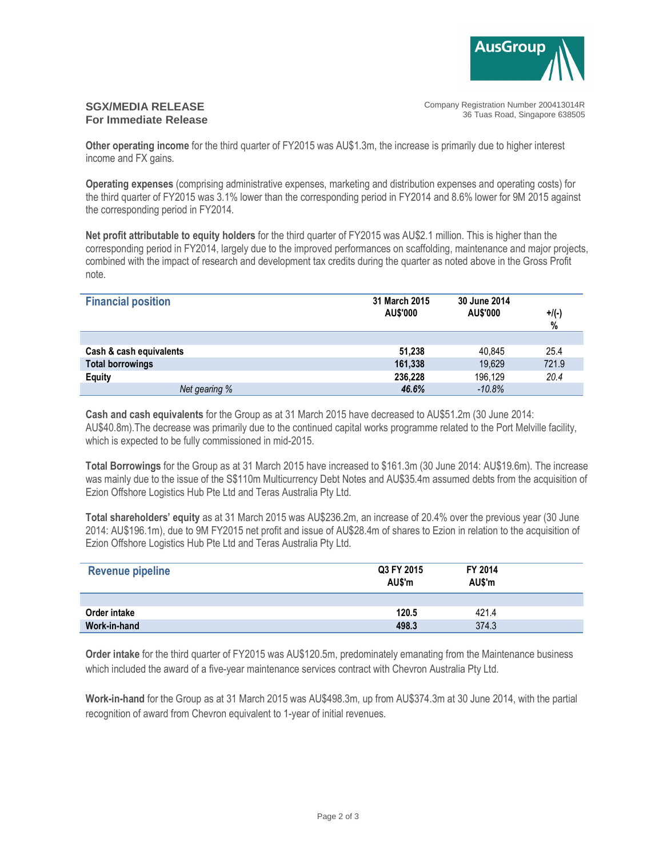

#### **SGX/MEDIA RELEASE For Immediate Release**

Company Registration Number 200413014R 36 Tuas Road, Singapore 638505

**Other operating income** for the third quarter of FY2015 was AU\$1.3m, the increase is primarily due to higher interest income and FX gains.

**Operating expenses** (comprising administrative expenses, marketing and distribution expenses and operating costs) for the third quarter of FY2015 was 3.1% lower than the corresponding period in FY2014 and 8.6% lower for 9M 2015 against the corresponding period in FY2014.

**Net profit attributable to equity holders** for the third quarter of FY2015 was AU\$2.1 million. This is higher than the corresponding period in FY2014, largely due to the improved performances on scaffolding, maintenance and major projects, combined with the impact of research and development tax credits during the quarter as noted above in the Gross Profit note.

| <b>Financial position</b> | 31 March 2015<br><b>AU\$'000</b> | 30 June 2014<br>AU\$'000 | $+$ /(-)<br>$\%$ |
|---------------------------|----------------------------------|--------------------------|------------------|
|                           |                                  |                          |                  |
| Cash & cash equivalents   | 51,238                           | 40,845                   | 25.4             |
| <b>Total borrowings</b>   | 161,338                          | 19,629                   | 721.9            |
| <b>Equity</b>             | 236,228                          | 196,129                  | 20.4             |
| Net gearing %             | 46.6%                            | $-10.8%$                 |                  |

**Cash and cash equivalents** for the Group as at 31 March 2015 have decreased to AU\$51.2m (30 June 2014: AU\$40.8m).The decrease was primarily due to the continued capital works programme related to the Port Melville facility, which is expected to be fully commissioned in mid-2015.

**Total Borrowings** for the Group as at 31 March 2015 have increased to \$161.3m (30 June 2014: AU\$19.6m). The increase was mainly due to the issue of the S\$110m Multicurrency Debt Notes and AU\$35.4m assumed debts from the acquisition of Ezion Offshore Logistics Hub Pte Ltd and Teras Australia Pty Ltd.

**Total shareholders' equity** as at 31 March 2015 was AU\$236.2m, an increase of 20.4% over the previous year (30 June 2014: AU\$196.1m), due to 9M FY2015 net profit and issue of AU\$28.4m of shares to Ezion in relation to the acquisition of Ezion Offshore Logistics Hub Pte Ltd and Teras Australia Pty Ltd.

| <b>Revenue pipeline</b> | Q3 FY 2015<br>AU\$'m | FY 2014<br>AU\$'m |  |
|-------------------------|----------------------|-------------------|--|
|                         |                      |                   |  |
| Order intake            | 120.5                | 421.4             |  |
| Work-in-hand            | 498.3                | 374.3             |  |

**Order intake** for the third quarter of FY2015 was AU\$120.5m, predominately emanating from the Maintenance business which included the award of a five-year maintenance services contract with Chevron Australia Pty Ltd.

**Work-in-hand** for the Group as at 31 March 2015 was AU\$498.3m, up from AU\$374.3m at 30 June 2014, with the partial recognition of award from Chevron equivalent to 1-year of initial revenues.